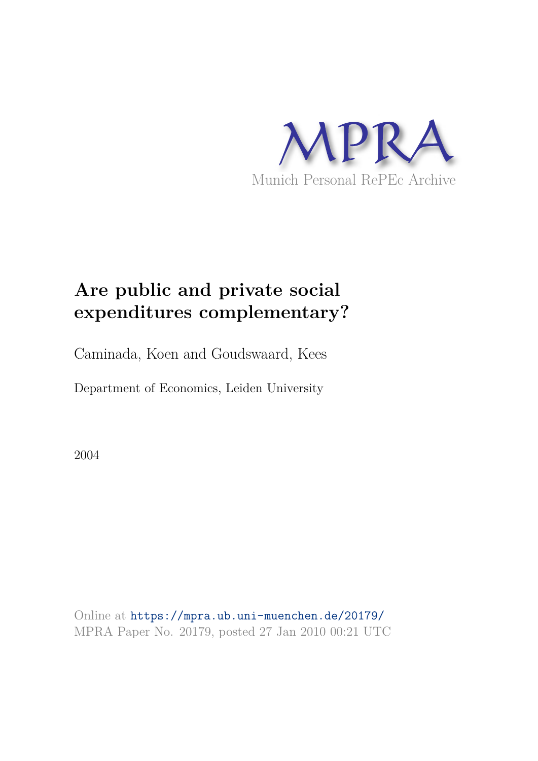

# **Are public and private social expenditures complementary?**

Caminada, Koen and Goudswaard, Kees

Department of Economics, Leiden University

2004

Online at https://mpra.ub.uni-muenchen.de/20179/ MPRA Paper No. 20179, posted 27 Jan 2010 00:21 UTC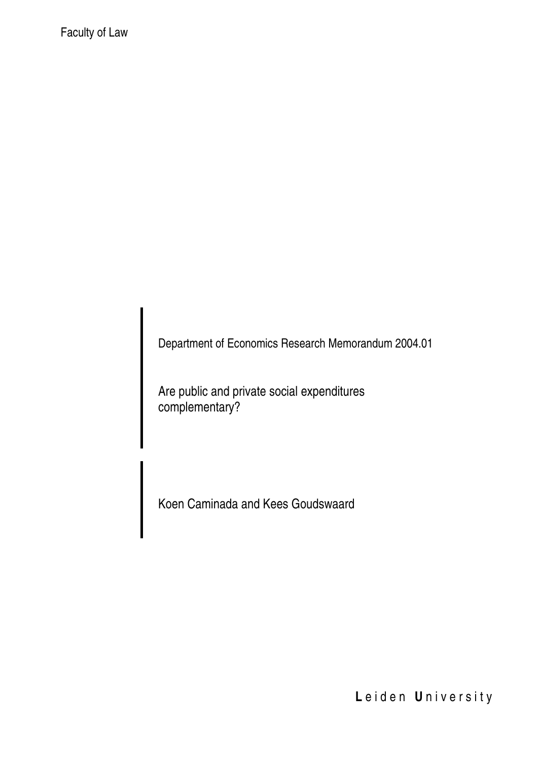Department of Economics Research Memorandum 2004.01

Are public and private social expenditures complementary?

Koen Caminada and Kees Goudswaard

Leiden **U**niversity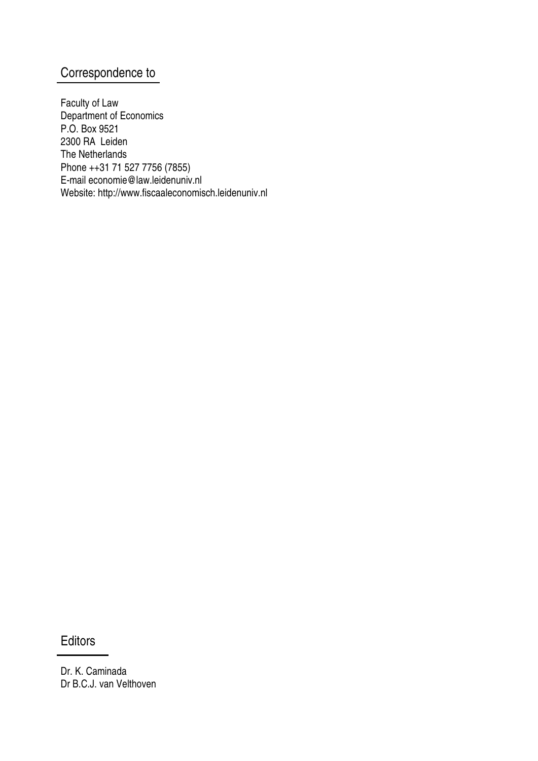# Correspondence to

Faculty of Law Department of Economics P.O. Box 9521 2300 RA Leiden The Netherlands Phone ++31 71 527 7756 (7855) E-mail economie@law.leidenuniv.nl Website: http://www.fiscaaleconomisch.leidenuniv.nl

**Editors** 

Dr. K. Caminada Dr B.C.J. van Velthoven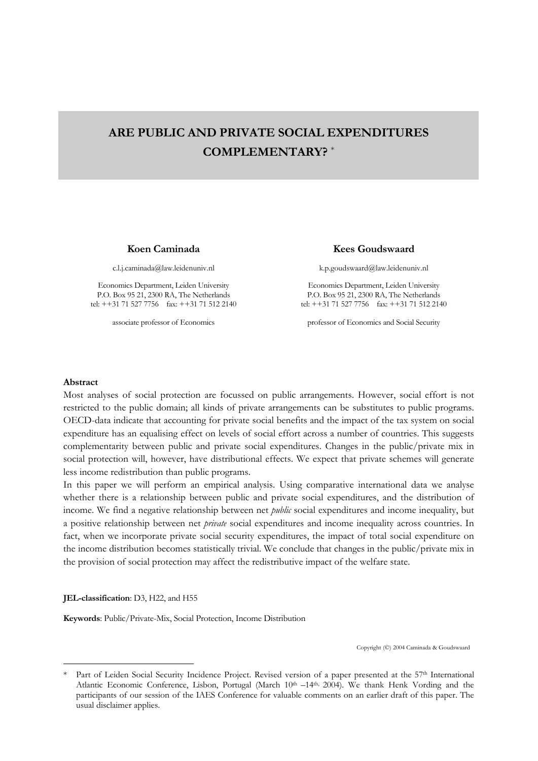# **ARE PUBLIC AND PRIVATE SOCIAL EXPENDITURES COMPLEMENTARY?** \*

### **Koen Caminada**

c.l.j.caminada@law.leidenuniv.nl

Economics Department, Leiden University P.O. Box 95 21, 2300 RA, The Netherlands tel: ++31 71 527 7756 fax: ++31 71 512 2140

associate professor of Economics

#### **Kees Goudswaard**

k.p.goudswaard@law.leidenuniv.nl

Economics Department, Leiden University P.O. Box 95 21, 2300 RA, The Netherlands tel: ++31 71 527 7756 fax: ++31 71 512 2140

professor of Economics and Social Security

#### **Abstract**

Most analyses of social protection are focussed on public arrangements. However, social effort is not restricted to the public domain; all kinds of private arrangements can be substitutes to public programs. OECD-data indicate that accounting for private social benefits and the impact of the tax system on social expenditure has an equalising effect on levels of social effort across a number of countries. This suggests complementarity between public and private social expenditures. Changes in the public/private mix in social protection will, however, have distributional effects. We expect that private schemes will generate less income redistribution than public programs.

In this paper we will perform an empirical analysis. Using comparative international data we analyse whether there is a relationship between public and private social expenditures, and the distribution of income. We find a negative relationship between net *public* social expenditures and income inequality, but a positive relationship between net *private* social expenditures and income inequality across countries. In fact, when we incorporate private social security expenditures, the impact of total social expenditure on the income distribution becomes statistically trivial. We conclude that changes in the public/private mix in the provision of social protection may affect the redistributive impact of the welfare state.

**JEL-classification**: D3, H22, and H55

**Keywords**: Public/Private-Mix, Social Protection, Income Distribution

Copyright (©) 2004 Caminada & Goudswaard

Part of Leiden Social Security Incidence Project. Revised version of a paper presented at the 57<sup>th</sup> International Atlantic Economic Conference, Lisbon, Portugal (March 10<sup>th</sup> –14<sup>th, 2</sup>004). We thank Henk Vording and the participants of our session of the IAES Conference for valuable comments on an earlier draft of this paper. The usual disclaimer applies.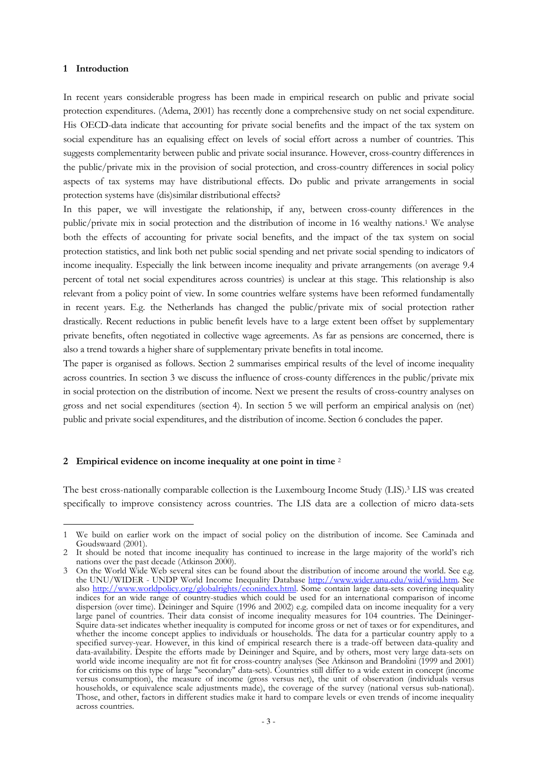#### **1 Introduction**

In recent years considerable progress has been made in empirical research on public and private social protection expenditures. (Adema, 2001) has recently done a comprehensive study on net social expenditure. His OECD-data indicate that accounting for private social benefits and the impact of the tax system on social expenditure has an equalising effect on levels of social effort across a number of countries. This suggests complementarity between public and private social insurance. However, cross-country differences in the public/private mix in the provision of social protection, and cross-country differences in social policy aspects of tax systems may have distributional effects. Do public and private arrangements in social protection systems have (dis)similar distributional effects?

In this paper, we will investigate the relationship, if any, between cross-county differences in the public/private mix in social protection and the distribution of income in 16 wealthy nations.<sup>1</sup> We analyse both the effects of accounting for private social benefits, and the impact of the tax system on social protection statistics, and link both net public social spending and net private social spending to indicators of income inequality. Especially the link between income inequality and private arrangements (on average 9.4 percent of total net social expenditures across countries) is unclear at this stage. This relationship is also relevant from a policy point of view. In some countries welfare systems have been reformed fundamentally in recent years. E.g. the Netherlands has changed the public/private mix of social protection rather drastically. Recent reductions in public benefit levels have to a large extent been offset by supplementary private benefits, often negotiated in collective wage agreements. As far as pensions are concerned, there is also a trend towards a higher share of supplementary private benefits in total income.

The paper is organised as follows. Section 2 summarises empirical results of the level of income inequality across countries. In section 3 we discuss the influence of cross-county differences in the public/private mix in social protection on the distribution of income. Next we present the results of cross-country analyses on gross and net social expenditures (section 4). In section 5 we will perform an empirical analysis on (net) public and private social expenditures, and the distribution of income. Section 6 concludes the paper.

#### **2 Empirical evidence on income inequality at one point in time** <sup>2</sup>

The best cross-nationally comparable collection is the Luxembourg Income Study (LIS).<sup>3</sup> LIS was created specifically to improve consistency across countries. The LIS data are a collection of micro data-sets

We build on earlier work on the impact of social policy on the distribution of income. See Caminada and Goudswaard (2001).

<sup>2</sup> It should be noted that income inequality has continued to increase in the large majority of the world's rich nations over the past decade (Atkinson 2000).

<sup>3</sup> On the World Wide Web several sites can be found about the distribution of income around the world. See e.g. the UNU/WIDER - UNDP World Income Inequality Database http://www.wider.unu.edu/wiid/wiid.htm. See also http://www.worldpolicy.org/globalrights/econindex.html. Some contain large data-sets covering inequality indices for an wide range of country-studies which could be used for an international comparison of income dispersion (over time). Deininger and Squire (1996 and 2002) e.g. compiled data on income inequality for a very large panel of countries. Their data consist of income inequality measures for 104 countries. The Deininger-Squire data-set indicates whether inequality is computed for income gross or net of taxes or for expenditures, and whether the income concept applies to individuals or households. The data for a particular country apply to a specified survey-year. However, in this kind of empirical research there is a trade-off between data-quality and data-availability. Despite the efforts made by Deininger and Squire, and by others, most very large data-sets on world wide income inequality are not fit for cross-country analyses (See Atkinson and Brandolini (1999 and 2001) for criticisms on this type of large "secondary" data-sets). Countries still differ to a wide extent in concept (income versus consumption), the measure of income (gross versus net), the unit of observation (individuals versus households, or equivalence scale adjustments made), the coverage of the survey (national versus sub-national). Those, and other, factors in different studies make it hard to compare levels or even trends of income inequality across countries.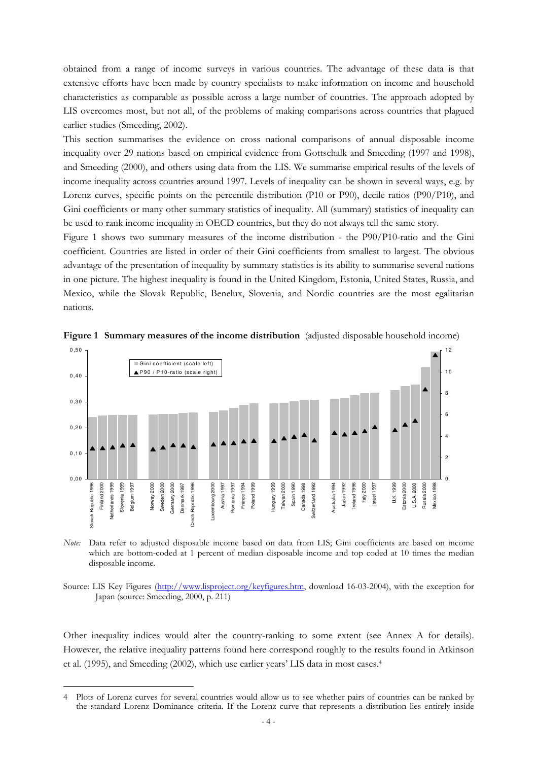obtained from a range of income surveys in various countries. The advantage of these data is that extensive efforts have been made by country specialists to make information on income and household characteristics as comparable as possible across a large number of countries. The approach adopted by LIS overcomes most, but not all, of the problems of making comparisons across countries that plagued earlier studies (Smeeding, 2002).

This section summarises the evidence on cross national comparisons of annual disposable income inequality over 29 nations based on empirical evidence from Gottschalk and Smeeding (1997 and 1998), and Smeeding (2000), and others using data from the LIS. We summarise empirical results of the levels of income inequality across countries around 1997. Levels of inequality can be shown in several ways, e.g. by Lorenz curves, specific points on the percentile distribution (P10 or P90), decile ratios (P90/P10), and Gini coefficients or many other summary statistics of inequality. All (summary) statistics of inequality can be used to rank income inequality in OECD countries, but they do not always tell the same story.

Figure 1 shows two summary measures of the income distribution - the P90/P10-ratio and the Gini coefficient. Countries are listed in order of their Gini coefficients from smallest to largest. The obvious advantage of the presentation of inequality by summary statistics is its ability to summarise several nations in one picture. The highest inequality is found in the United Kingdom, Estonia, United States, Russia, and Mexico, while the Slovak Republic, Benelux, Slovenia, and Nordic countries are the most egalitarian nations.



**Figure 1 Summary measures of the income distribution** (adjusted disposable household income)

*Note:* Data refer to adjusted disposable income based on data from LIS; Gini coefficients are based on income which are bottom-coded at 1 percent of median disposable income and top coded at 10 times the median disposable income.

Source: LIS Key Figures (http://www.lisproject.org/keyfigures.htm, download 16-03-2004), with the exception for Japan (source: Smeeding, 2000, p. 211)

Other inequality indices would alter the country-ranking to some extent (see Annex A for details). However, the relative inequality patterns found here correspond roughly to the results found in Atkinson et al. (1995), and Smeeding (2002), which use earlier years' LIS data in most cases.<sup>4</sup>

<sup>4</sup> Plots of Lorenz curves for several countries would allow us to see whether pairs of countries can be ranked by the standard Lorenz Dominance criteria. If the Lorenz curve that represents a distribution lies entirely inside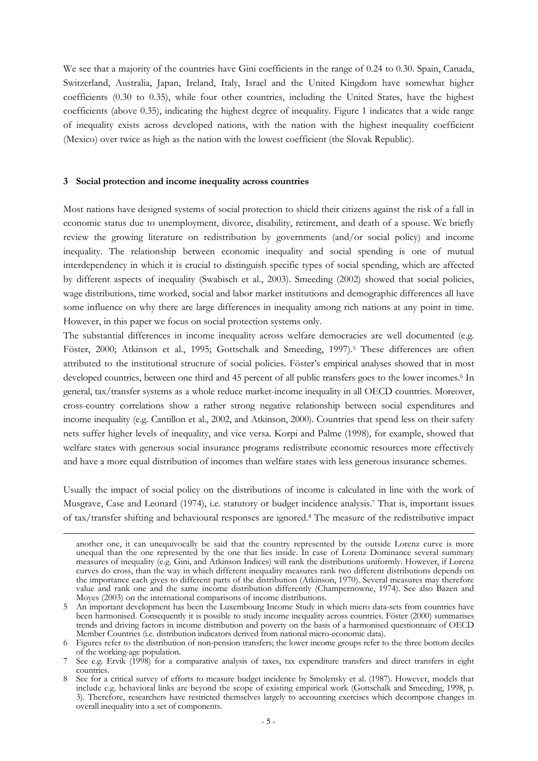We see that a majority of the countries have Gini coefficients in the range of 0.24 to 0.30. Spain, Canada, Switzerland, Australia, Japan, Ireland, Italy, Israel and the United Kingdom have somewhat higher coefficients (0.30 to 0.35), while four other countries, including the United States, have the highest coefficients (above 0.35), indicating the highest degree of inequality. Figure 1 indicates that a wide range of inequality exists across developed nations, with the nation with the highest inequality coefficient (Mexico) over twice as high as the nation with the lowest coefficient (the Slovak Republic).

#### **3 Social protection and income inequality across countries**

Most nations have designed systems of social protection to shield their citizens against the risk of a fall in economic status due to unemployment, divorce, disability, retirement, and death of a spouse. We briefly review the growing literature on redistribution by governments (and/or social policy) and income inequality. The relationship between economic inequality and social spending is one of mutual interdependency in which it is crucial to distinguish specific types of social spending, which are affected by different aspects of inequality (Swabisch et al., 2003). Smeeding (2002) showed that social policies, wage distributions, time worked, social and labor market institutions and demographic differences all have some influence on why there are large differences in inequality among rich nations at any point in time. However, in this paper we focus on social protection systems only.

The substantial differences in income inequality across welfare democracies are well documented (e.g. Föster, 2000; Atkinson et al., 1995; Gottschalk and Smeeding, 1997).<sup>5</sup> These differences are often attributed to the institutional structure of social policies. Föster's empirical analyses showed that in most developed countries, between one third and 45 percent of all public transfers goes to the lower incomes.<sup>6</sup> In general, tax/transfer systems as a whole reduce market-income inequality in all OECD countries. Moreover, cross-country correlations show a rather strong negative relationship between social expenditures and income inequality (e.g. Cantillon et al., 2002, and Atkinson, 2000). Countries that spend less on their safety nets suffer higher levels of inequality, and vice versa. Korpi and Palme (1998), for example, showed that welfare states with generous social insurance programs redistribute economic resources more effectively and have a more equal distribution of incomes than welfare states with less generous insurance schemes.

Usually the impact of social policy on the distributions of income is calculated in line with the work of Musgrave, Case and Leonard (1974), i.e. statutory or budget incidence analysis.<sup>7</sup> That is, important issues of tax/transfer shifting and behavioural responses are ignored.<sup>8</sup> The measure of the redistributive impact

another one, it can unequivocally be said that the country represented by the outside Lorenz curve is more unequal than the one represented by the one that lies inside. In case of Lorenz Dominance several summary measures of inequality (e.g. Gini, and Atkinson Indices) will rank the distributions uniformly. However, if Lorenz curves do cross, than the way in which different inequality measures rank two different distributions depends on the importance each gives to different parts of the distribution (Atkinson, 1970). Several measures may therefore value and rank one and the same income distribution differently (Champernowne, 1974). See also Bazen and Moyes (2003) on the international comparisons of income distributions.

<sup>5</sup> An important development has been the Luxembourg Income Study in which micro data-sets from countries have been harmonised. Consequently it is possible to study income inequality across countries. Föster (2000) summarises trends and driving factors in income distribution and poverty on the basis of a harmonised questionnaire of OECD Member Countries (i.e. distribution indicators derived from national micro-economic data).

<sup>6</sup> Figures refer to the distribution of non-pension transfers; the lower income groups refer to the three bottom deciles of the working-age population.

<sup>7</sup> See e.g. Ervik (1998) for a comparative analysis of taxes, tax expenditure transfers and direct transfers in eight countries.

<sup>8</sup> See for a critical survey of efforts to measure budget incidence by Smolensky et al. (1987). However, models that include e.g. behavioral links are beyond the scope of existing empirical work (Gottschalk and Smeeding, 1998, p. 3). Therefore, researchers have restricted themselves largely to accounting exercises which decompose changes in overall inequality into a set of components.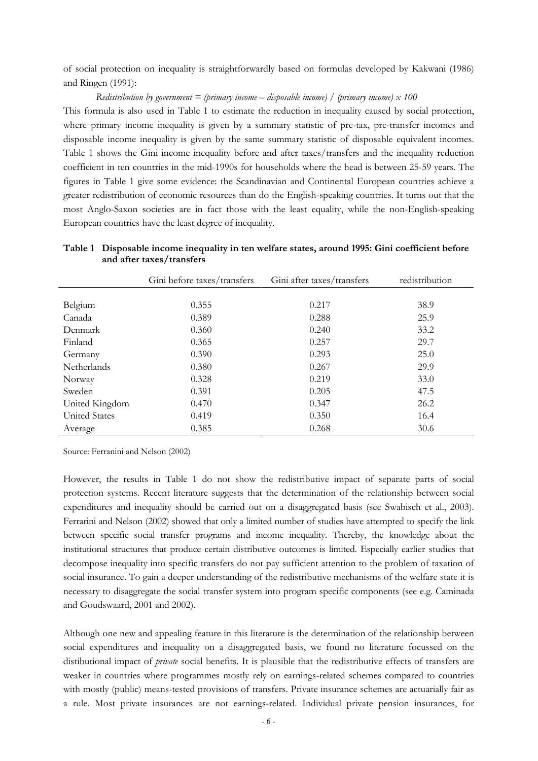of social protection on inequality is straightforwardly based on formulas developed by Kakwani (1986) and Ringen (1991):

*Redistribution by government = (primary income – disposable income) / (primary income)*  $\times$  100

This formula is also used in Table 1 to estimate the reduction in inequality caused by social protection, where primary income inequality is given by a summary statistic of pre-tax, pre-transfer incomes and disposable income inequality is given by the same summary statistic of disposable equivalent incomes. Table 1 shows the Gini income inequality before and after taxes/transfers and the inequality reduction coefficient in ten countries in the mid-1990s for households where the head is between 25-59 years. The figures in Table 1 give some evidence: the Scandinavian and Continental European countries achieve a greater redistribution of economic resources than do the English-speaking countries. It turns out that the most Anglo-Saxon societies are in fact those with the least equality, while the non-English-speaking European countries have the least degree of inequality.

|                      | Gini before taxes/transfers | Gini after taxes/transfers | redistribution |
|----------------------|-----------------------------|----------------------------|----------------|
|                      |                             |                            |                |
| Belgium              | 0.355                       | 0.217                      | 38.9           |
| Canada               | 0.389                       | 0.288                      | 25.9           |
| Denmark              | 0.360                       | 0.240                      | 33.2           |
| Finland              | 0.365                       | 0.257                      | 29.7           |
| Germany              | 0.390                       | 0.293                      | 25.0           |
| Netherlands          | 0.380                       | 0.267                      | 29.9           |
| Norway               | 0.328                       | 0.219                      | 33.0           |
| Sweden               | 0.391                       | 0.205                      | 47.5           |
| United Kingdom       | 0.470                       | 0.347                      | 26.2           |
| <b>United States</b> | 0.419                       | 0.350                      | 16.4           |
| Average              | 0.385                       | 0.268                      | 30.6           |

**Table 1 Disposable income inequality in ten welfare states, around 1995: Gini coefficient before and after taxes/transfers** 

Source: Ferranini and Nelson (2002)

However, the results in Table 1 do not show the redistributive impact of separate parts of social protection systems. Recent literature suggests that the determination of the relationship between social expenditures and inequality should be carried out on a disaggregated basis (see Swabisch et al., 2003). Ferrarini and Nelson (2002) showed that only a limited number of studies have attempted to specify the link between specific social transfer programs and income inequality. Thereby, the knowledge about the institutional structures that produce certain distributive outcomes is limited. Especially earlier studies that decompose inequality into specific transfers do not pay sufficient attention to the problem of taxation of social insurance. To gain a deeper understanding of the redistributive mechanisms of the welfare state it is necessary to disaggregate the social transfer system into program specific components (see e.g. Caminada and Goudswaard, 2001 and 2002).

Although one new and appealing feature in this literature is the determination of the relationship between social expenditures and inequality on a disaggregated basis, we found no literature focussed on the distibutional impact of *private* social benefits. It is plausible that the redistributive effects of transfers are weaker in countries where programmes mostly rely on earnings-related schemes compared to countries with mostly (public) means-tested provisions of transfers. Private insurance schemes are actuarially fair as a rule. Most private insurances are not earnings-related. Individual private pension insurances, for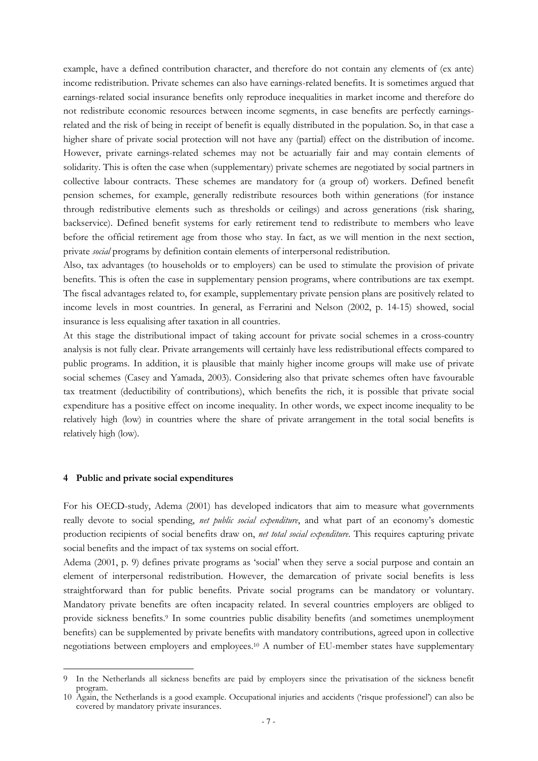example, have a defined contribution character, and therefore do not contain any elements of (ex ante) income redistribution. Private schemes can also have earnings-related benefits. It is sometimes argued that earnings-related social insurance benefits only reproduce inequalities in market income and therefore do not redistribute economic resources between income segments, in case benefits are perfectly earningsrelated and the risk of being in receipt of benefit is equally distributed in the population. So, in that case a higher share of private social protection will not have any (partial) effect on the distribution of income. However, private earnings-related schemes may not be actuarially fair and may contain elements of solidarity. This is often the case when (supplementary) private schemes are negotiated by social partners in collective labour contracts. These schemes are mandatory for (a group of) workers. Defined benefit pension schemes, for example, generally redistribute resources both within generations (for instance through redistributive elements such as thresholds or ceilings) and across generations (risk sharing, backservice). Defined benefit systems for early retirement tend to redistribute to members who leave before the official retirement age from those who stay. In fact, as we will mention in the next section, private *social* programs by definition contain elements of interpersonal redistribution.

Also, tax advantages (to households or to employers) can be used to stimulate the provision of private benefits. This is often the case in supplementary pension programs, where contributions are tax exempt. The fiscal advantages related to, for example, supplementary private pension plans are positively related to income levels in most countries. In general, as Ferrarini and Nelson (2002, p. 14-15) showed, social insurance is less equalising after taxation in all countries.

At this stage the distributional impact of taking account for private social schemes in a cross-country analysis is not fully clear. Private arrangements will certainly have less redistributional effects compared to public programs. In addition, it is plausible that mainly higher income groups will make use of private social schemes (Casey and Yamada, 2003). Considering also that private schemes often have favourable tax treatment (deductibility of contributions), which benefits the rich, it is possible that private social expenditure has a positive effect on income inequality. In other words, we expect income inequality to be relatively high (low) in countries where the share of private arrangement in the total social benefits is relatively high (low).

#### **4 Public and private social expenditures**

For his OECD-study, Adema (2001) has developed indicators that aim to measure what governments really devote to social spending, *net public social expenditure*, and what part of an economy's domestic production recipients of social benefits draw on, *net total social expenditure*. This requires capturing private social benefits and the impact of tax systems on social effort.

Adema (2001, p. 9) defines private programs as 'social' when they serve a social purpose and contain an element of interpersonal redistribution. However, the demarcation of private social benefits is less straightforward than for public benefits. Private social programs can be mandatory or voluntary. Mandatory private benefits are often incapacity related. In several countries employers are obliged to provide sickness benefits.<sup>9</sup> In some countries public disability benefits (and sometimes unemployment benefits) can be supplemented by private benefits with mandatory contributions, agreed upon in collective negotiations between employers and employees.10 A number of EU-member states have supplementary

<sup>9</sup> In the Netherlands all sickness benefits are paid by employers since the privatisation of the sickness benefit program.

<sup>10</sup> Again, the Netherlands is a good example. Occupational injuries and accidents ('risque professionel') can also be covered by mandatory private insurances.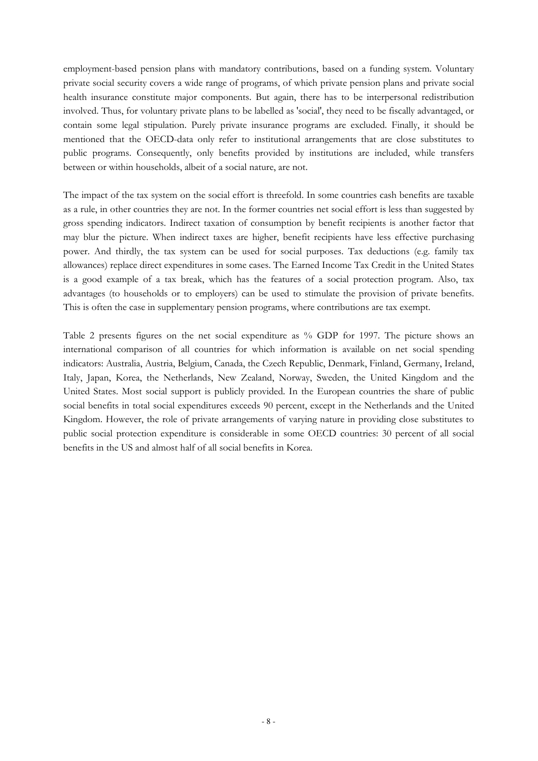employment-based pension plans with mandatory contributions, based on a funding system. Voluntary private social security covers a wide range of programs, of which private pension plans and private social health insurance constitute major components. But again, there has to be interpersonal redistribution involved. Thus, for voluntary private plans to be labelled as 'social', they need to be fiscally advantaged, or contain some legal stipulation. Purely private insurance programs are excluded. Finally, it should be mentioned that the OECD-data only refer to institutional arrangements that are close substitutes to public programs. Consequently, only benefits provided by institutions are included, while transfers between or within households, albeit of a social nature, are not.

The impact of the tax system on the social effort is threefold. In some countries cash benefits are taxable as a rule, in other countries they are not. In the former countries net social effort is less than suggested by gross spending indicators. Indirect taxation of consumption by benefit recipients is another factor that may blur the picture. When indirect taxes are higher, benefit recipients have less effective purchasing power. And thirdly, the tax system can be used for social purposes. Tax deductions (e.g. family tax allowances) replace direct expenditures in some cases. The Earned Income Tax Credit in the United States is a good example of a tax break, which has the features of a social protection program. Also, tax advantages (to households or to employers) can be used to stimulate the provision of private benefits. This is often the case in supplementary pension programs, where contributions are tax exempt.

Table 2 presents figures on the net social expenditure as % GDP for 1997. The picture shows an international comparison of all countries for which information is available on net social spending indicators: Australia, Austria, Belgium, Canada, the Czech Republic, Denmark, Finland, Germany, Ireland, Italy, Japan, Korea, the Netherlands, New Zealand, Norway, Sweden, the United Kingdom and the United States. Most social support is publicly provided. In the European countries the share of public social benefits in total social expenditures exceeds 90 percent, except in the Netherlands and the United Kingdom. However, the role of private arrangements of varying nature in providing close substitutes to public social protection expenditure is considerable in some OECD countries: 30 percent of all social benefits in the US and almost half of all social benefits in Korea.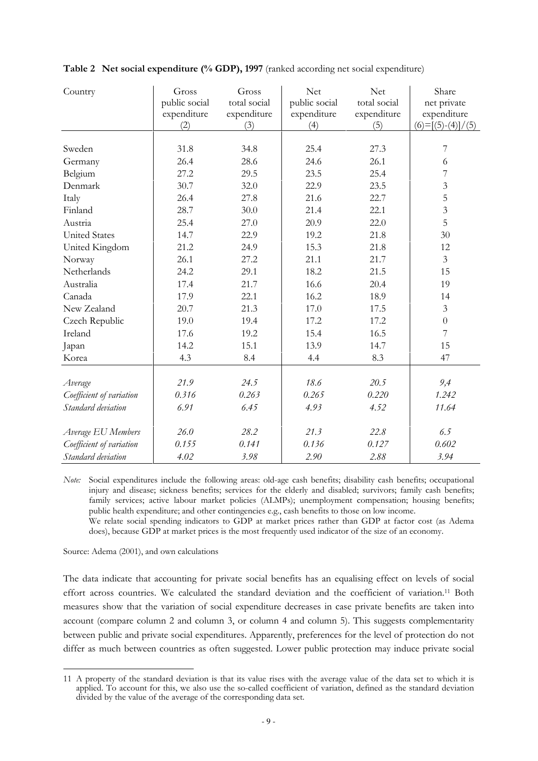| Country                  | Gross<br>public social<br>expenditure<br>(2) | Gross<br>total social<br>expenditure<br>(3) | Net<br>public social<br>expenditure<br>(4) | Net<br>total social<br>expenditure<br>(5) | Share<br>net private<br>expenditure<br>$(6) = [(5)-(4)]/(5)$ |
|--------------------------|----------------------------------------------|---------------------------------------------|--------------------------------------------|-------------------------------------------|--------------------------------------------------------------|
|                          |                                              |                                             |                                            |                                           |                                                              |
| Sweden                   | 31.8                                         | 34.8                                        | 25.4                                       | 27.3                                      | $\overline{7}$                                               |
| Germany                  | 26.4                                         | 28.6                                        | 24.6                                       | 26.1                                      | 6                                                            |
| Belgium                  | 27.2                                         | 29.5                                        | 23.5                                       | 25.4                                      | 7                                                            |
| Denmark                  | 30.7                                         | 32.0                                        | 22.9                                       | 23.5                                      | $\overline{3}$                                               |
| Italy                    | 26.4                                         | 27.8                                        | 21.6                                       | 22.7                                      | 5                                                            |
| Finland                  | 28.7                                         | 30.0                                        | 21.4                                       | 22.1                                      | 3                                                            |
| Austria                  | 25.4                                         | 27.0                                        | 20.9                                       | 22.0                                      | 5                                                            |
| <b>United States</b>     | 14.7                                         | 22.9                                        | 19.2                                       | 21.8                                      | 30                                                           |
| United Kingdom           | 21.2                                         | 24.9                                        | 15.3                                       | 21.8                                      | 12                                                           |
| Norway                   | 26.1                                         | 27.2                                        | 21.1                                       | 21.7                                      | 3                                                            |
| Netherlands              | 24.2                                         | 29.1                                        | 18.2                                       | 21.5                                      | 15                                                           |
| Australia                | 17.4                                         | 21.7                                        | 16.6                                       | 20.4                                      | 19                                                           |
| Canada                   | 17.9                                         | 22.1                                        | 16.2                                       | 18.9                                      | 14                                                           |
| New Zealand              | 20.7                                         | 21.3                                        | 17.0                                       | 17.5                                      | $\mathfrak{Z}$                                               |
| Czech Republic           | 19.0                                         | 19.4                                        | 17.2                                       | 17.2                                      | $\boldsymbol{0}$                                             |
| Ireland                  | 17.6                                         | 19.2                                        | 15.4                                       | 16.5                                      | $\overline{7}$                                               |
| Japan                    | 14.2                                         | 15.1                                        | 13.9                                       | 14.7                                      | 15                                                           |
| Korea                    | 4.3                                          | 8.4                                         | 4.4                                        | 8.3                                       | 47                                                           |
|                          |                                              |                                             |                                            |                                           |                                                              |
| Average                  | 21.9                                         | 24.5                                        | 18.6                                       | 20.5                                      | 9,4                                                          |
| Coefficient of variation | 0.316                                        | 0.263                                       | 0.265                                      | 0.220                                     | 1.242                                                        |
| Standard deviation       | 6.91                                         | 6.45                                        | 4.93                                       | 4.52                                      | 11.64                                                        |
| Average EU Members       | 26.0                                         | 28.2                                        | 21.3                                       | 22.8                                      | 6.5                                                          |
| Coefficient of variation | 0.155                                        | 0.141                                       | 0.136                                      | 0.127                                     | 0.602                                                        |
| Standard deviation       | 4.02                                         | 3.98                                        | 2.90                                       | 2.88                                      | 3.94                                                         |

**Table 2 Net social expenditure (% GDP), 1997** (ranked according net social expenditure)

*Note:* Social expenditures include the following areas: old-age cash benefits; disability cash benefits; occupational injury and disease; sickness benefits; services for the elderly and disabled; survivors; family cash benefits; family services; active labour market policies (ALMPs); unemployment compensation; housing benefits; public health expenditure; and other contingencies e.g., cash benefits to those on low income.

 We relate social spending indicators to GDP at market prices rather than GDP at factor cost (as Adema does), because GDP at market prices is the most frequently used indicator of the size of an economy.

Source: Adema (2001), and own calculations

The data indicate that accounting for private social benefits has an equalising effect on levels of social effort across countries. We calculated the standard deviation and the coefficient of variation.11 Both measures show that the variation of social expenditure decreases in case private benefits are taken into account (compare column 2 and column 3, or column 4 and column 5). This suggests complementarity between public and private social expenditures. Apparently, preferences for the level of protection do not differ as much between countries as often suggested. Lower public protection may induce private social

<sup>11</sup> A property of the standard deviation is that its value rises with the average value of the data set to which it is applied. To account for this, we also use the so-called coefficient of variation, defined as the standard deviation divided by the value of the average of the corresponding data set.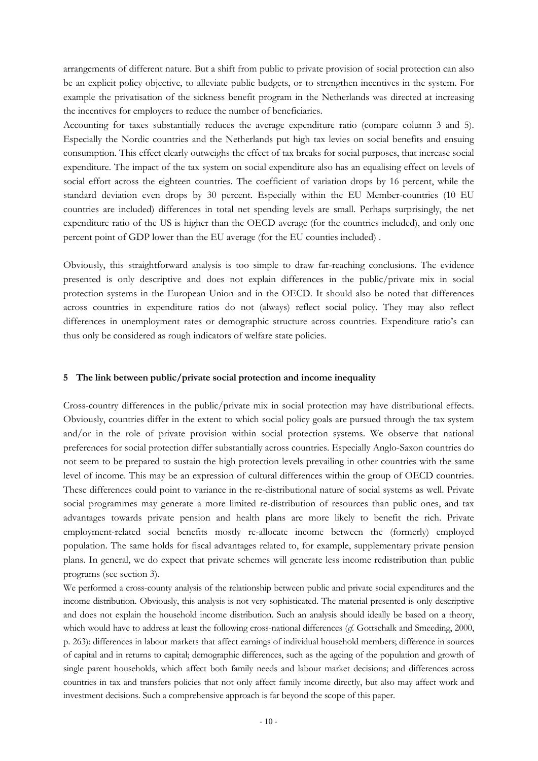arrangements of different nature. But a shift from public to private provision of social protection can also be an explicit policy objective, to alleviate public budgets, or to strengthen incentives in the system. For example the privatisation of the sickness benefit program in the Netherlands was directed at increasing the incentives for employers to reduce the number of beneficiaries.

Accounting for taxes substantially reduces the average expenditure ratio (compare column 3 and 5). Especially the Nordic countries and the Netherlands put high tax levies on social benefits and ensuing consumption. This effect clearly outweighs the effect of tax breaks for social purposes, that increase social expenditure. The impact of the tax system on social expenditure also has an equalising effect on levels of social effort across the eighteen countries. The coefficient of variation drops by 16 percent, while the standard deviation even drops by 30 percent. Especially within the EU Member-countries (10 EU countries are included) differences in total net spending levels are small. Perhaps surprisingly, the net expenditure ratio of the US is higher than the OECD average (for the countries included), and only one percent point of GDP lower than the EU average (for the EU counties included) .

Obviously, this straightforward analysis is too simple to draw far-reaching conclusions. The evidence presented is only descriptive and does not explain differences in the public/private mix in social protection systems in the European Union and in the OECD. It should also be noted that differences across countries in expenditure ratios do not (always) reflect social policy. They may also reflect differences in unemployment rates or demographic structure across countries. Expenditure ratio's can thus only be considered as rough indicators of welfare state policies.

#### **5 The link between public/private social protection and income inequality**

Cross-country differences in the public/private mix in social protection may have distributional effects. Obviously, countries differ in the extent to which social policy goals are pursued through the tax system and/or in the role of private provision within social protection systems. We observe that national preferences for social protection differ substantially across countries. Especially Anglo-Saxon countries do not seem to be prepared to sustain the high protection levels prevailing in other countries with the same level of income. This may be an expression of cultural differences within the group of OECD countries. These differences could point to variance in the re-distributional nature of social systems as well. Private social programmes may generate a more limited re-distribution of resources than public ones, and tax advantages towards private pension and health plans are more likely to benefit the rich. Private employment-related social benefits mostly re-allocate income between the (formerly) employed population. The same holds for fiscal advantages related to, for example, supplementary private pension plans. In general, we do expect that private schemes will generate less income redistribution than public programs (see section 3).

We performed a cross-county analysis of the relationship between public and private social expenditures and the income distribution. Obviously, this analysis is not very sophisticated. The material presented is only descriptive and does not explain the household income distribution. Such an analysis should ideally be based on a theory, which would have to address at least the following cross-national differences (*cf.* Gottschalk and Smeeding, 2000, p. 263): differences in labour markets that affect earnings of individual household members; difference in sources of capital and in returns to capital; demographic differences, such as the ageing of the population and growth of single parent households, which affect both family needs and labour market decisions; and differences across countries in tax and transfers policies that not only affect family income directly, but also may affect work and investment decisions. Such a comprehensive approach is far beyond the scope of this paper.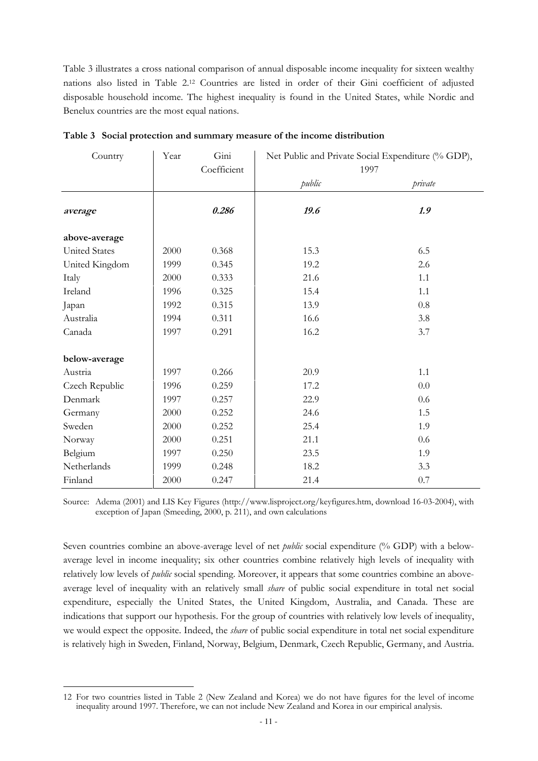Table 3 illustrates a cross national comparison of annual disposable income inequality for sixteen wealthy nations also listed in Table 2.12 Countries are listed in order of their Gini coefficient of adjusted disposable household income. The highest inequality is found in the United States, while Nordic and Benelux countries are the most equal nations.

| Country              | Year        | Gini  | Net Public and Private Social Expenditure (% GDP), |         |  |  |
|----------------------|-------------|-------|----------------------------------------------------|---------|--|--|
|                      | Coefficient |       | 1997                                               |         |  |  |
|                      |             |       | public                                             | private |  |  |
| average              |             | 0.286 | 19.6                                               | 1.9     |  |  |
| above-average        |             |       |                                                    |         |  |  |
| <b>United States</b> | 2000        | 0.368 | 15.3                                               | 6.5     |  |  |
| United Kingdom       | 1999        | 0.345 | 19.2                                               | 2.6     |  |  |
| Italy                | 2000        | 0.333 | 21.6                                               | 1.1     |  |  |
| Ireland              | 1996        | 0.325 | 15.4                                               | 1.1     |  |  |
| Japan                | 1992        | 0.315 | 13.9                                               | 0.8     |  |  |
| Australia            | 1994        | 0.311 | 16.6                                               | 3.8     |  |  |
| Canada               | 1997        | 0.291 | 16.2                                               | 3.7     |  |  |
| below-average        |             |       |                                                    |         |  |  |
| Austria              | 1997        | 0.266 | 20.9                                               | 1.1     |  |  |
| Czech Republic       | 1996        | 0.259 | 17.2                                               | 0.0     |  |  |
| Denmark              | 1997        | 0.257 | 22.9                                               | 0.6     |  |  |
| Germany              | 2000        | 0.252 | 24.6                                               | 1.5     |  |  |
| Sweden               | 2000        | 0.252 | 25.4                                               | 1.9     |  |  |
| Norway               | 2000        | 0.251 | 21.1                                               | 0.6     |  |  |
| Belgium              | 1997        | 0.250 | 23.5                                               | 1.9     |  |  |
| Netherlands          | 1999        | 0.248 | 18.2                                               | 3.3     |  |  |
| Finland              | 2000        | 0.247 | 21.4                                               | 0.7     |  |  |

**Table 3 Social protection and summary measure of the income distribution** 

Source: Adema (2001) and LIS Key Figures (http://www.lisproject.org/keyfigures.htm, download 16-03-2004), with exception of Japan (Smeeding, 2000, p. 211), and own calculations

Seven countries combine an above-average level of net *public* social expenditure (% GDP) with a belowaverage level in income inequality; six other countries combine relatively high levels of inequality with relatively low levels of *public* social spending. Moreover, it appears that some countries combine an aboveaverage level of inequality with an relatively small *share* of public social expenditure in total net social expenditure, especially the United States, the United Kingdom, Australia, and Canada. These are indications that support our hypothesis. For the group of countries with relatively low levels of inequality, we would expect the opposite. Indeed, the *share* of public social expenditure in total net social expenditure is relatively high in Sweden, Finland, Norway, Belgium, Denmark, Czech Republic, Germany, and Austria.

<sup>12</sup> For two countries listed in Table 2 (New Zealand and Korea) we do not have figures for the level of income inequality around 1997. Therefore, we can not include New Zealand and Korea in our empirical analysis.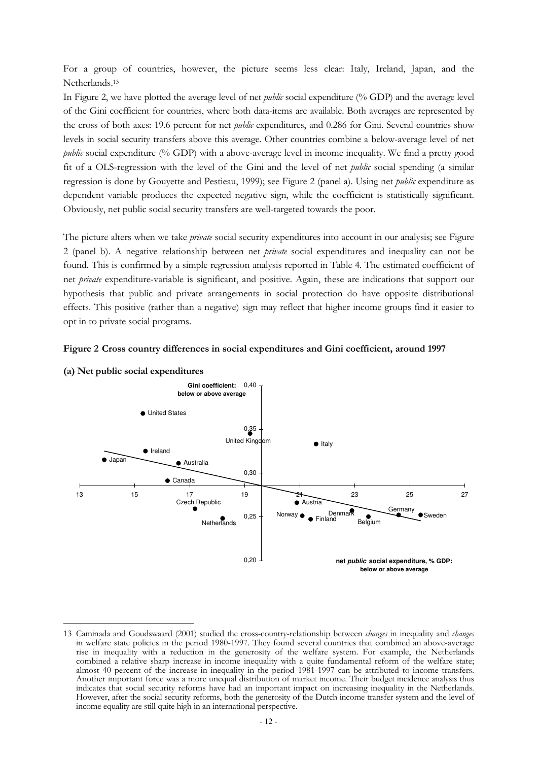For a group of countries, however, the picture seems less clear: Italy, Ireland, Japan, and the Netherlands.<sup>13</sup>

In Figure 2, we have plotted the average level of net *public* social expenditure (% GDP) and the average level of the Gini coefficient for countries, where both data-items are available. Both averages are represented by the cross of both axes: 19.6 percent for net *public* expenditures, and 0.286 for Gini. Several countries show levels in social security transfers above this average. Other countries combine a below-average level of net *public* social expenditure (% GDP) with a above-average level in income inequality. We find a pretty good fit of a OLS-regression with the level of the Gini and the level of net *public* social spending (a similar regression is done by Gouyette and Pestieau, 1999); see Figure 2 (panel a). Using net *public* expenditure as dependent variable produces the expected negative sign, while the coefficient is statistically significant. Obviously, net public social security transfers are well-targeted towards the poor.

The picture alters when we take *private* social security expenditures into account in our analysis; see Figure 2 (panel b). A negative relationship between net *private* social expenditures and inequality can not be found. This is confirmed by a simple regression analysis reported in Table 4. The estimated coefficient of net *private* expenditure-variable is significant, and positive. Again, these are indications that support our hypothesis that public and private arrangements in social protection do have opposite distributional effects. This positive (rather than a negative) sign may reflect that higher income groups find it easier to opt in to private social programs.

#### **Figure 2 Cross country differences in social expenditures and Gini coefficient, around 1997**



#### **(a) Net public social expenditures**

<sup>13</sup> Caminada and Goudswaard (2001) studied the cross-country-relationship between *changes* in inequality and *changes* in welfare state policies in the period 1980-1997. They found several countries that combined an above-average rise in inequality with a reduction in the generosity of the welfare system. For example, the Netherlands combined a relative sharp increase in income inequality with a quite fundamental reform of the welfare state; almost 40 percent of the increase in inequality in the period 1981-1997 can be attributed to income transfers. Another important force was a more unequal distribution of market income. Their budget incidence analysis thus indicates that social security reforms have had an important impact on increasing inequality in the Netherlands. However, after the social security reforms, both the generosity of the Dutch income transfer system and the level of income equality are still quite high in an international perspective.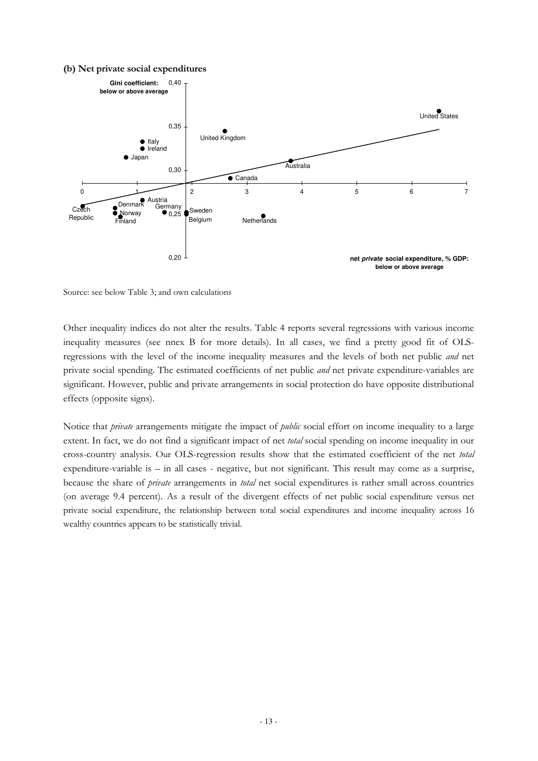#### **(b) Net private social expenditures**



Source: see below Table 3; and own calculations

Other inequality indices do not alter the results. Table 4 reports several regressions with various income inequality measures (see nnex B for more details). In all cases, we find a pretty good fit of OLSregressions with the level of the income inequality measures and the levels of both net public *and* net private social spending. The estimated coefficients of net public *and* net private expenditure-variables are significant. However, public and private arrangements in social protection do have opposite distributional effects (opposite signs).

Notice that *private* arrangements mitigate the impact of *public* social effort on income inequality to a large extent. In fact, we do not find a significant impact of net *total* social spending on income inequality in our cross-country analysis. Our OLS-regression results show that the estimated coefficient of the net *total* expenditure-variable is – in all cases - negative, but not significant. This result may come as a surprise, because the share of *private* arrangements in *total* net social expenditures is rather small across countries (on average 9.4 percent). As a result of the divergent effects of net public social expenditure versus net private social expenditure, the relationship between total social expenditures and income inequality across 16 wealthy countries appears to be statistically trivial.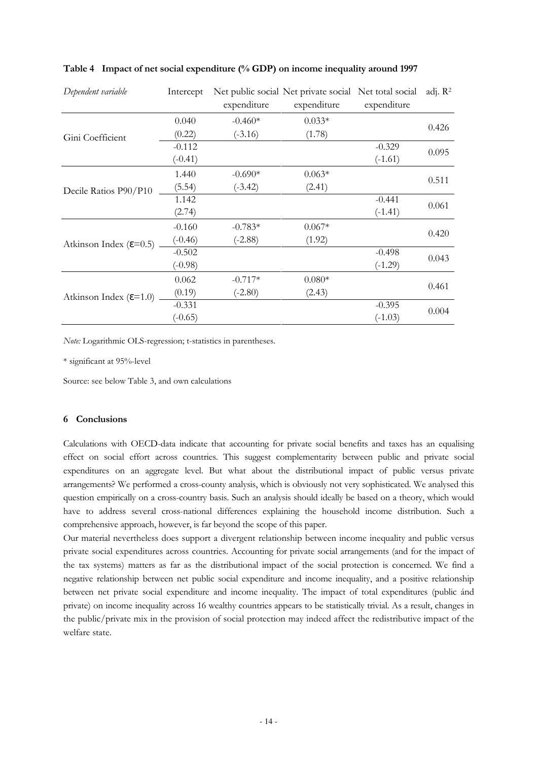| Dependent variable                   | Intercept |             | Net public social Net private social Net total social |             | adj. $\mathbb{R}^2$ |  |
|--------------------------------------|-----------|-------------|-------------------------------------------------------|-------------|---------------------|--|
|                                      |           | expenditure | expenditure                                           | expenditure |                     |  |
|                                      | 0.040     | $-0.460*$   | $0.033*$                                              |             | 0.426               |  |
| Gini Coefficient                     | (0.22)    | $(-3.16)$   | (1.78)                                                |             |                     |  |
|                                      | $-0.112$  |             |                                                       | $-0.329$    | 0.095               |  |
|                                      | $(-0.41)$ |             |                                                       | $(-1.61)$   |                     |  |
|                                      | 1.440     | $-0.690*$   | $0.063*$                                              |             |                     |  |
| Decile Ratios P90/P10                | (5.54)    | $(-3.42)$   | (2.41)                                                |             | 0.511               |  |
|                                      | 1.142     |             |                                                       | $-0.441$    | 0.061               |  |
|                                      | (2.74)    |             |                                                       | $(-1.41)$   |                     |  |
|                                      | $-0.160$  | $-0.783*$   | $0.067*$                                              |             |                     |  |
| Atkinson Index $(E=0.5)$             | $(-0.46)$ | $(-2.88)$   | (1.92)                                                |             | 0.420               |  |
|                                      | $-0.502$  |             |                                                       | $-0.498$    | 0.043               |  |
|                                      | $(-0.98)$ |             |                                                       | $(-1.29)$   |                     |  |
| Atkinson Index ( $\varepsilon$ =1.0) | 0.062     | $-0.717*$   | $0.080*$                                              |             |                     |  |
|                                      | (0.19)    | $(-2.80)$   | (2.43)                                                |             | 0.461               |  |
|                                      | $-0.331$  |             |                                                       | $-0.395$    | 0.004               |  |
|                                      | $(-0.65)$ |             |                                                       | $(-1.03)$   |                     |  |

## **Table 4 Impact of net social expenditure (% GDP) on income inequality around 1997**

*Note:* Logarithmic OLS-regression; t-statistics in parentheses.

\* significant at 95%-level

Source: see below Table 3, and own calculations

### **6 Conclusions**

Calculations with OECD-data indicate that accounting for private social benefits and taxes has an equalising effect on social effort across countries. This suggest complementarity between public and private social expenditures on an aggregate level. But what about the distributional impact of public versus private arrangements? We performed a cross-county analysis, which is obviously not very sophisticated. We analysed this question empirically on a cross-country basis. Such an analysis should ideally be based on a theory, which would have to address several cross-national differences explaining the household income distribution. Such a comprehensive approach, however, is far beyond the scope of this paper.

Our material nevertheless does support a divergent relationship between income inequality and public versus private social expenditures across countries. Accounting for private social arrangements (and for the impact of the tax systems) matters as far as the distributional impact of the social protection is concerned. We find a negative relationship between net public social expenditure and income inequality, and a positive relationship between net private social expenditure and income inequality. The impact of total expenditures (public ánd private) on income inequality across 16 wealthy countries appears to be statistically trivial. As a result, changes in the public/private mix in the provision of social protection may indeed affect the redistributive impact of the welfare state.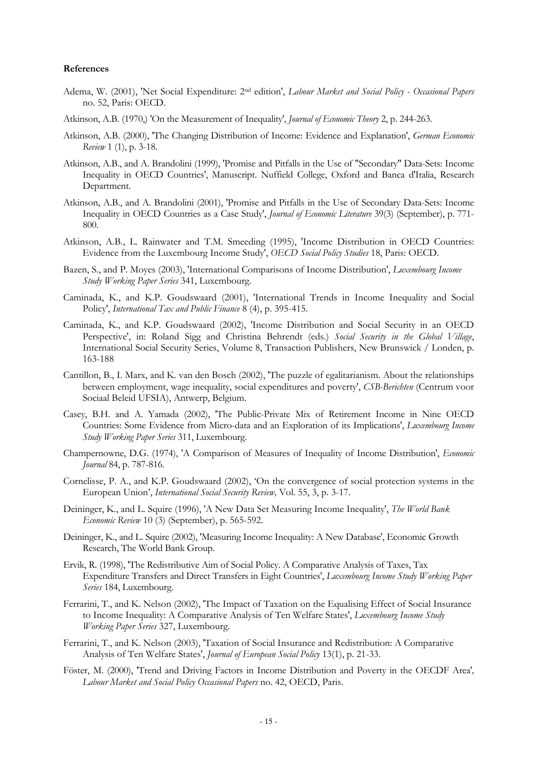#### **References**

- Adema, W. (2001), 'Net Social Expenditure: 2nd edition', *Labour Market and Social Policy Occasional Papers* no. 52, Paris: OECD.
- Atkinson, A.B. (1970,) 'On the Measurement of Inequality', *Journal of Economic Theory* 2, p. 244-263.
- Atkinson, A.B. (2000), 'The Changing Distribution of Income: Evidence and Explanation', *German Economic Review* 1 (1), p. 3-18.
- Atkinson, A.B., and A. Brandolini (1999), 'Promise and Pitfalls in the Use of "Secondary" Data-Sets: Income Inequality in OECD Countries', Manuscript. Nuffield College, Oxford and Banca d'Italia, Research Department.
- Atkinson, A.B., and A. Brandolini (2001), 'Promise and Pitfalls in the Use of Secondary Data-Sets: Income Inequality in OECD Countries as a Case Study', *Journal of Economic Literature* 39(3) (September), p. 771- 800.
- Atkinson, A.B., L. Rainwater and T.M. Smeeding (1995), 'Income Distribution in OECD Countries: Evidence from the Luxembourg Income Study', *OECD Social Policy Studies* 18, Paris: OECD.
- Bazen, S., and P. Moyes (2003), 'International Comparisons of Income Distribution', *Luxembourg Income Study Working Paper Series* 341, Luxembourg.
- Caminada, K., and K.P. Goudswaard (2001), 'International Trends in Income Inequality and Social Policy', *International Tax and Public Finance* 8 (4), p. 395-415.
- Caminada, K., and K.P. Goudswaard (2002), 'Income Distribution and Social Security in an OECD Perspective', in: Roland Sigg and Christina Behrendt (eds.) *Social Security in the Global Village*, International Social Security Series, Volume 8, Transaction Publishers, New Brunswick / Londen, p. 163-188
- Cantillon, B., I. Marx, and K. van den Bosch (2002), 'The puzzle of egalitarianism. About the relationships between employment, wage inequality, social expenditures and poverty', *CSB-Berichten* (Centrum voor Sociaal Beleid UFSIA), Antwerp, Belgium.
- Casey, B.H. and A. Yamada (2002), 'The Public-Private Mix of Retirement Income in Nine OECD Countries: Some Evidence from Micro-data and an Exploration of its Implications', *Luxembourg Income Study Working Paper Series* 311, Luxembourg.
- Champernowne, D.G. (1974), 'A Comparison of Measures of Inequality of Income Distribution', *Economic Journal* 84, p. 787-816.
- Cornelisse, P. A., and K.P. Goudswaard (2002), 'On the convergence of social protection systems in the European Union', *International Social Security Review,* Vol. 55, 3, p. 3-17.
- Deininger, K., and L. Squire (1996), 'A New Data Set Measuring Income Inequality', *The World Bank Economic Review* 10 (3) (September), p. 565-592.
- Deininger, K., and L. Squire (2002), 'Measuring Income Inequality: A New Database', Economic Growth Research, The World Bank Group.
- Ervik, R. (1998), 'The Redistributive Aim of Social Policy. A Comparative Analysis of Taxes, Tax Expenditure Transfers and Direct Transfers in Eight Countries', *Luxembourg Income Study Working Paper Series* 184, Luxembourg.
- Ferrarini, T., and K. Nelson (2002), 'The Impact of Taxation on the Equalising Effect of Social Insurance to Income Inequality: A Comparative Analysis of Ten Welfare States', *Luxembourg Income Study Working Paper Series* 327, Luxembourg.
- Ferrarini, T., and K. Nelson (2003), 'Taxation of Social Insurance and Redistribution: A Comparative Analysis of Ten Welfare States', *Journal of European Social Policy* 13(1), p. 21-33.
- Föster, M. (2000), 'Trend and Driving Factors in Income Distribution and Poverty in the OECDF Area'*, Labour Market and Social Policy Occasional Papers* no. 42, OECD, Paris.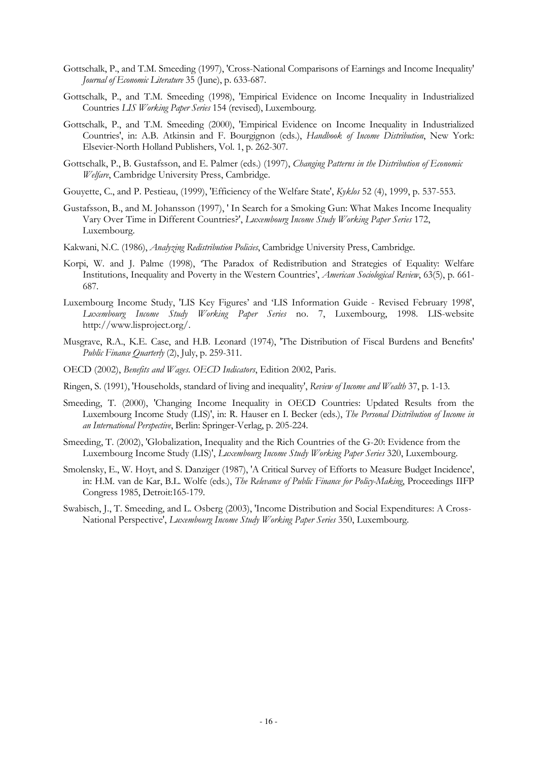- Gottschalk, P., and T.M. Smeeding (1997), 'Cross-National Comparisons of Earnings and Income Inequality' *Journal of Economic Literature* 35 (June), p. 633-687.
- Gottschalk, P., and T.M. Smeeding (1998), 'Empirical Evidence on Income Inequality in Industrialized Countries *LIS Working Paper Series* 154 (revised), Luxembourg.
- Gottschalk, P., and T.M. Smeeding (2000), 'Empirical Evidence on Income Inequality in Industrialized Countries', in: A.B. Atkinsin and F. Bourgignon (eds.), *Handbook of Income Distribution*, New York: Elsevier-North Holland Publishers, Vol. 1, p. 262-307.
- Gottschalk, P., B. Gustafsson, and E. Palmer (eds.) (1997), *Changing Patterns in the Distribution of Economic Welfare*, Cambridge University Press, Cambridge.
- Gouyette, C., and P. Pestieau, (1999), 'Efficiency of the Welfare State', *Kyklos* 52 (4), 1999, p. 537-553.
- Gustafsson, B., and M. Johansson (1997), ' In Search for a Smoking Gun: What Makes Income Inequality Vary Over Time in Different Countries?', *Luxembourg Income Study Working Paper Series* 172, Luxembourg.
- Kakwani, N.C. (1986), *Analyzing Redistribution Policies*, Cambridge University Press, Cambridge.
- Korpi, W. and J. Palme (1998), 'The Paradox of Redistribution and Strategies of Equality: Welfare Institutions, Inequality and Poverty in the Western Countries', *American Sociological Review*, 63(5), p. 661- 687.
- Luxembourg Income Study, 'LIS Key Figures' and 'LIS Information Guide Revised February 1998', *Luxembourg Income Study Working Paper Series* no. 7, Luxembourg, 1998. LIS-website http://www.lisproject.org/.
- Musgrave, R.A., K.E. Case, and H.B. Leonard (1974), 'The Distribution of Fiscal Burdens and Benefits' *Public Finance Quarterly* (2), July, p. 259-311.
- OECD (2002), *Benefits and Wages. OECD Indicators*, Edition 2002, Paris.
- Ringen, S. (1991), 'Households, standard of living and inequality', *Review of Income and Wealth* 37, p. 1-13.
- Smeeding, T. (2000), 'Changing Income Inequality in OECD Countries: Updated Results from the Luxembourg Income Study (LIS)', in: R. Hauser en I. Becker (eds.), *The Personal Distribution of Income in an International Perspective*, Berlin: Springer-Verlag, p. 205-224.
- Smeeding, T. (2002), 'Globalization, Inequality and the Rich Countries of the G-20: Evidence from the Luxembourg Income Study (LIS)', *Luxembourg Income Study Working Paper Series* 320, Luxembourg.
- Smolensky, E., W. Hoyt, and S. Danziger (1987), 'A Critical Survey of Efforts to Measure Budget Incidence', in: H.M. van de Kar, B.L. Wolfe (eds.), *The Relevance of Public Finance for Policy-Making*, Proceedings IIFP Congress 1985, Detroit:165-179.
- Swabisch, J., T. Smeeding, and L. Osberg (2003), 'Income Distribution and Social Expenditures: A Cross-National Perspective', *Luxembourg Income Study Working Paper Series* 350, Luxembourg.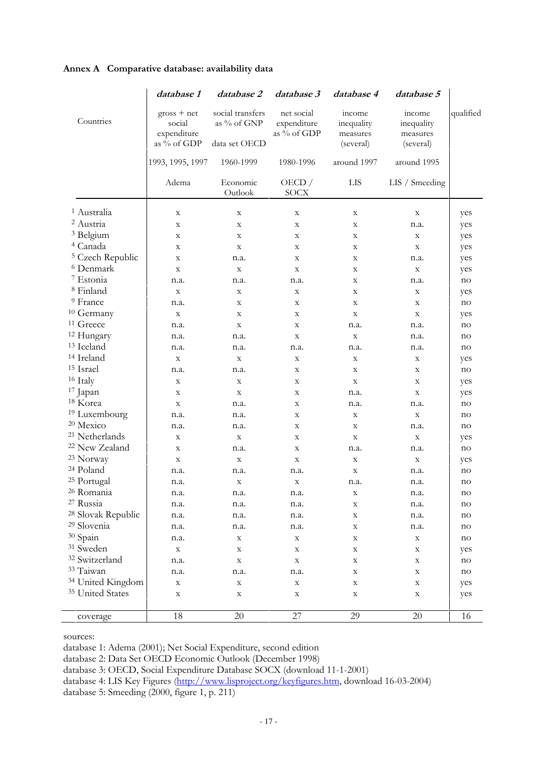|                               | database 1                             | database 2                      | database 3                               | database 4                       | database 5                       |           |
|-------------------------------|----------------------------------------|---------------------------------|------------------------------------------|----------------------------------|----------------------------------|-----------|
| Countries                     | $gross + net$<br>social<br>expenditure | social transfers<br>as % of GNP | net social<br>expenditure<br>as % of GDP | income<br>inequality<br>measures | income<br>inequality<br>measures | qualified |
|                               | as % of GDP                            | data set OECD                   |                                          | (several)                        | (several)                        |           |
|                               | 1993, 1995, 1997                       | 1960-1999                       | 1980-1996                                | around 1997                      | around 1995                      |           |
|                               | Adema                                  | Economic<br>Outlook             | OECD /<br><b>SOCX</b>                    | <b>LIS</b>                       | LIS / Smeeding                   |           |
| <sup>1</sup> Australia        | $\mathbf X$                            | $\mathbf X$                     | $\mathbf X$                              | $\mathbf X$                      | X                                | yes       |
| <sup>2</sup> Austria          | $\mathbf X$                            | $\mathbf X$                     | $\mathbf X$                              | $\mathbf X$                      | n.a.                             | yes       |
| <sup>3</sup> Belgium          | $\mathbf X$                            | $\mathbf X$                     | $\mathbf X$                              | $\mathbf X$                      | $\mathbf X$                      | yes       |
| <sup>4</sup> Canada           | $\mathbf X$                            | $\mathbf X$                     | $\mathbf X$                              | $\mathbf X$                      | $\mathbf X$                      | yes       |
| <sup>5</sup> Czech Republic   | $\mathbf X$                            | n.a.                            | $\mathbf X$                              | $\mathbf X$                      | n.a.                             | yes       |
| <sup>6</sup> Denmark          | $\mathbf X$                            | $\mathbf X$                     | $\mathbf X$                              | $\mathbf X$                      | $\mathbf X$                      | yes       |
| <sup>7</sup> Estonia          | n.a.                                   | n.a.                            | n.a.                                     | $\mathbf X$                      | n.a.                             | no        |
| <sup>8</sup> Finland          | $\mathbf X$                            | $\mathbf X$                     | $\mathbf X$                              | $\mathbf X$                      | $\mathbf X$                      | yes       |
| <sup>9</sup> France           | n.a.                                   | $\mathbf X$                     | $\mathbf X$                              | $\mathbf X$                      | $\mathbf X$                      | no        |
| <sup>10</sup> Germany         | $\mathbf X$                            | $\mathbf X$                     | $\mathbf X$                              | $\mathbf X$                      | $\mathbf X$                      | yes       |
| <sup>11</sup> Greece          | n.a.                                   | $\mathbf X$                     | $\mathbf X$                              | n.a.                             | n.a.                             | no        |
| <sup>12</sup> Hungary         | n.a.                                   | n.a.                            | $\mathbf X$                              | $\mathbf X$                      | n.a.                             | no        |
| <sup>13</sup> Iceland         | n.a.                                   | n.a.                            | n.a.                                     | n.a.                             | n.a.                             | no        |
| <sup>14</sup> Ireland         | $\mathbf X$                            | $\mathbf X$                     | $\mathbf X$                              | $\mathbf X$                      | $\mathbf X$                      | yes       |
| <sup>15</sup> Israel          | n.a.                                   | n.a.                            | $\mathbf X$                              | $\mathbf X$                      | $\mathbf X$                      | no        |
| <sup>16</sup> Italy           | $\mathbf X$                            | X                               | $\mathbf X$                              | $\mathbf X$                      | $\mathbf X$                      | yes       |
| <sup>17</sup> Japan           | $\mathbf X$                            | $\mathbf X$                     | $\mathbf X$                              | n.a.                             | $\mathbf X$                      | yes       |
| <sup>18</sup> Korea           | $\mathbf X$                            | n.a.                            | $\mathbf X$                              | n.a.                             | n.a.                             | no        |
| <sup>19</sup> Luxembourg      | n.a.                                   | n.a.                            | $\mathbf X$                              | $\mathbf X$                      | $\mathbf X$                      | no        |
| <sup>20</sup> Mexico          | n.a.                                   | n.a.                            | X                                        | $\mathbf X$                      | n.a.                             | no        |
| <sup>21</sup> Netherlands     | $\mathbf X$                            | $\mathbf X$                     | $\mathbf X$                              | $\mathbf X$                      | $\mathbf X$                      | yes       |
| <sup>22</sup> New Zealand     | $\mathbf X$                            | n.a.                            | $\mathbf X$                              | n.a.                             | n.a.                             | no        |
| <sup>23</sup> Norway          | $\mathbf X$                            | $\mathbf X$                     | $\mathbf X$                              | $\mathbf X$                      | $\mathbf X$                      | yes       |
| <sup>24</sup> Poland          | n.a.                                   | n.a.                            | n.a.                                     | $\mathbf X$                      | n.a.                             | no        |
| <sup>25</sup> Portugal        | n.a.                                   | $\mathbf X$                     | $\mathbf X$                              | n.a.                             | n.a.                             | no        |
| $\rm ^{26}$ Romania           | n.a.                                   | n.a.                            | n.a.                                     | X                                | n.a.                             | no        |
| <sup>27</sup> Russia          | n.a.                                   | n.a.                            | n.a.                                     | X                                | n.a.                             | no        |
| <sup>28</sup> Slovak Republic | n.a.                                   | n.a.                            | n.a.                                     | $\mathbf X$                      | n.a.                             | no        |
| <sup>29</sup> Slovenia        | n.a.                                   | n.a.                            | n.a.                                     | $\mathbf X$                      | n.a.                             | no        |
| <sup>30</sup> Spain           | n.a.                                   | $\mathbf X$                     | $\mathbf X$                              | $\mathbf X$                      | $\mathbf X$                      | no        |
| <sup>31</sup> Sweden          | $\mathbf X$                            | $\mathbf X$                     | $\mathbf X$                              | $\mathbf X$                      | $\mathbf X$                      | yes       |
| <sup>32</sup> Switzerland     | n.a.                                   | $\mathbf X$                     | $\mathbf X$                              | $\mathbf X$                      | X                                | no        |
| 33 Taiwan                     | n.a.                                   | n.a.                            | n.a.                                     | $\mathbf X$                      | $\mathbf X$                      | no        |
| <sup>34</sup> United Kingdom  | $\mathbf X$                            | $\mathbf X$                     | $\mathbf X$                              | $\mathbf X$                      | $\mathbf X$                      | yes       |
| <sup>35</sup> United States   | X                                      | $\mathbf X$                     | $\mathbf X$                              | $\mathbf X$                      | $\mathbf X$                      | yes       |
|                               |                                        |                                 |                                          |                                  |                                  |           |
| coverage                      | 18                                     | 20                              | 27                                       | 29                               | 20                               | 16        |

### **Annex A Comparative database: availability data**

sources:

database 1: Adema (2001); Net Social Expenditure, second edition

database 2: Data Set OECD Economic Outlook (December 1998)

database 3: OECD, Social Expenditure Database SOCX (download 11-1-2001)

database 4: LIS Key Figures (http://www.lisproject.org/keyfigures.htm, download 16-03-2004) database 5: Smeeding (2000, figure 1, p. 211)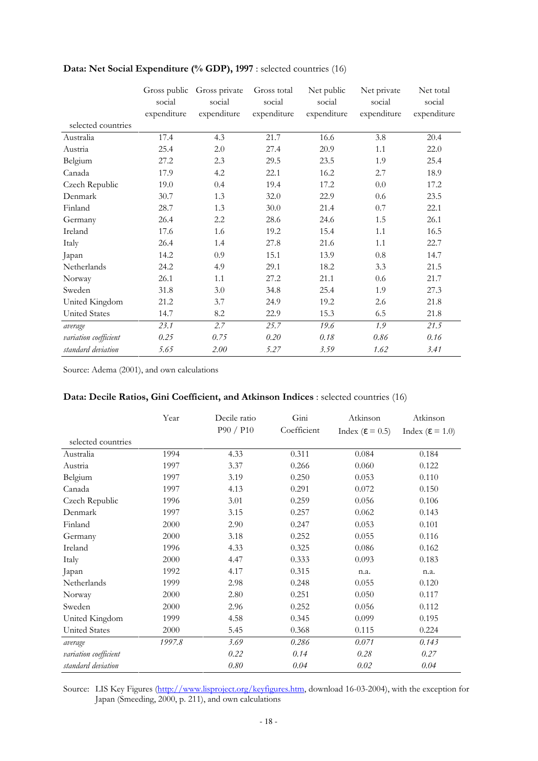|                       | Gross public<br>social<br>expenditure | Gross private<br>social<br>expenditure | Gross total<br>social<br>expenditure | Net public<br>social<br>expenditure | Net private<br>social<br>expenditure | Net total<br>social<br>expenditure |
|-----------------------|---------------------------------------|----------------------------------------|--------------------------------------|-------------------------------------|--------------------------------------|------------------------------------|
| selected countries    |                                       |                                        |                                      |                                     |                                      |                                    |
| Australia             | 17.4                                  | 4.3                                    | 21.7                                 | 16.6                                | 3.8                                  | 20.4                               |
| Austria               | 25.4                                  | 2.0                                    | 27.4                                 | 20.9                                | 1.1                                  | 22.0                               |
| Belgium               | 27.2                                  | 2.3                                    | 29.5                                 | 23.5                                | 1.9                                  | 25.4                               |
| Canada                | 17.9                                  | 4.2                                    | 22.1                                 | 16.2                                | 2.7                                  | 18.9                               |
| Czech Republic        | 19.0                                  | 0.4                                    | 19.4                                 | 17.2                                | 0.0                                  | 17.2                               |
| Denmark               | 30.7                                  | 1.3                                    | 32.0                                 | 22.9                                | 0.6                                  | 23.5                               |
| Finland               | 28.7                                  | 1.3                                    | 30.0                                 | 21.4                                | 0.7                                  | 22.1                               |
| Germany               | 26.4                                  | 2.2                                    | 28.6                                 | 24.6                                | 1.5                                  | 26.1                               |
| Ireland               | 17.6                                  | 1.6                                    | 19.2                                 | 15.4                                | 1.1                                  | 16.5                               |
| Italy                 | 26.4                                  | 1.4                                    | 27.8                                 | 21.6                                | 1.1                                  | 22.7                               |
| Japan                 | 14.2                                  | 0.9                                    | 15.1                                 | 13.9                                | 0.8                                  | 14.7                               |
| Netherlands           | 24.2                                  | 4.9                                    | 29.1                                 | 18.2                                | 3.3                                  | 21.5                               |
| Norway                | 26.1                                  | 1.1                                    | 27.2                                 | 21.1                                | 0.6                                  | 21.7                               |
| Sweden                | 31.8                                  | 3.0                                    | 34.8                                 | 25.4                                | 1.9                                  | 27.3                               |
| United Kingdom        | 21.2                                  | 3.7                                    | 24.9                                 | 19.2                                | 2.6                                  | 21.8                               |
| <b>United States</b>  | 14.7                                  | 8.2                                    | 22.9                                 | 15.3                                | 6.5                                  | 21.8                               |
| average               | 23.1                                  | 2.7                                    | 25.7                                 | 19.6                                | 1.9                                  | 21.5                               |
| variation coefficient | 0.25                                  | 0.75                                   | 0.20                                 | 0.18                                | 0.86                                 | 0.16                               |
| standard deviation    | 5.65                                  | 2.00                                   | 5.27                                 | 3.59                                | 1.62                                 | 3.41                               |

# **Data: Net Social Expenditure (% GDP), 1997** : selected countries (16)

Source: Adema (2001), and own calculations

# **Data: Decile Ratios, Gini Coefficient, and Atkinson Indices** : selected countries (16)

|                       | Year   | Decile ratio | Gini        | Atkinson                  | Atkinson                  |
|-----------------------|--------|--------------|-------------|---------------------------|---------------------------|
|                       |        | P90 / P10    | Coefficient | Index ( $\epsilon$ = 0.5) | Index ( $\epsilon$ = 1.0) |
| selected countries    |        |              |             |                           |                           |
| Australia             | 1994   | 4.33         | 0.311       | 0.084                     | 0.184                     |
| Austria               | 1997   | 3.37         | 0.266       | 0.060                     | 0.122                     |
| Belgium               | 1997   | 3.19         | 0.250       | 0.053                     | 0.110                     |
| Canada                | 1997   | 4.13         | 0.291       | 0.072                     | 0.150                     |
| Czech Republic        | 1996   | 3.01         | 0.259       | 0.056                     | 0.106                     |
| Denmark               | 1997   | 3.15         | 0.257       | 0.062                     | 0.143                     |
| Finland               | 2000   | 2.90         | 0.247       | 0.053                     | 0.101                     |
| Germany               | 2000   | 3.18         | 0.252       | 0.055                     | 0.116                     |
| Ireland               | 1996   | 4.33         | 0.325       | 0.086                     | 0.162                     |
| Italy                 | 2000   | 4.47         | 0.333       | 0.093                     | 0.183                     |
| Japan                 | 1992   | 4.17         | 0.315       | n.a.                      | n.a.                      |
| Netherlands           | 1999   | 2.98         | 0.248       | 0.055                     | 0.120                     |
| Norway                | 2000   | 2.80         | 0.251       | 0.050                     | 0.117                     |
| Sweden                | 2000   | 2.96         | 0.252       | 0.056                     | 0.112                     |
| United Kingdom        | 1999   | 4.58         | 0.345       | 0.099                     | 0.195                     |
| <b>United States</b>  | 2000   | 5.45         | 0.368       | 0.115                     | 0.224                     |
| average               | 1997.8 | 3.69         | 0.286       | 0.071                     | 0.143                     |
| variation coefficient |        | 0.22         | 0.14        | 0.28                      | 0.27                      |
| standard deviation    |        | $0.80\,$     | 0.04        | 0.02                      | 0.04                      |

Source: LIS Key Figures (http://www.lisproject.org/keyfigures.htm, download 16-03-2004), with the exception for Japan (Smeeding, 2000, p. 211), and own calculations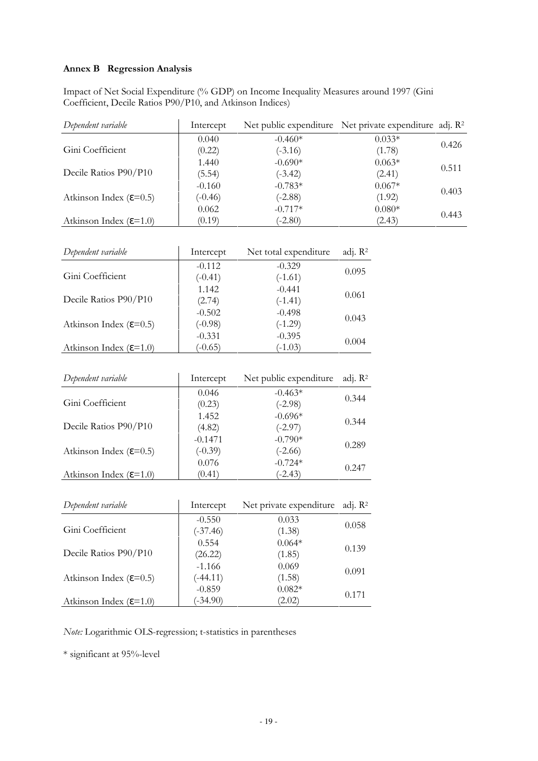# **Annex B Regression Analysis**

Impact of Net Social Expenditure (% GDP) on Income Inequality Measures around 1997 (Gini Coefficient, Decile Ratios P90/P10, and Atkinson Indices)

| Dependent variable                   | Intercept  | Net public expenditure Net private expenditure adj. R <sup>2</sup> |                     |          |       |
|--------------------------------------|------------|--------------------------------------------------------------------|---------------------|----------|-------|
|                                      | 0.040      | $-0.460*$                                                          |                     | $0.033*$ | 0.426 |
| Gini Coefficient                     | (0.22)     | $(-3.16)$                                                          |                     | (1.78)   |       |
|                                      | 1.440      | $-0.690*$                                                          |                     | $0.063*$ | 0.511 |
| Decile Ratios P90/P10                | (5.54)     | $(-3.42)$                                                          |                     | (2.41)   |       |
|                                      | $-0.160$   | $-0.783*$                                                          |                     | $0.067*$ |       |
| Atkinson Index ( $\varepsilon$ =0.5) | $(-0.46)$  | $(-2.88)$                                                          |                     | (1.92)   | 0.403 |
|                                      | 0.062      | $-0.717*$                                                          |                     | $0.080*$ |       |
| Atkinson Index ( $\varepsilon$ =1.0) | (0.19)     | $(-2.80)$                                                          |                     | (2.43)   | 0.443 |
|                                      |            |                                                                    |                     |          |       |
| Dependent variable                   | Intercept  | Net total expenditure                                              | adj. $R^2$          |          |       |
|                                      | $-0.112$   | $-0.329$                                                           |                     |          |       |
| Gini Coefficient                     | $(-0.41)$  | $(-1.61)$                                                          | 0.095               |          |       |
|                                      | 1.142      | $-0.441$                                                           | 0.061               |          |       |
| Decile Ratios P90/P10                | (2.74)     | $(-1.41)$                                                          |                     |          |       |
|                                      | $-0.502$   | $-0.498$                                                           |                     |          |       |
| Atkinson Index ( $\varepsilon$ =0.5) | $(-0.98)$  | $(-1.29)$                                                          | 0.043               |          |       |
|                                      | $-0.331$   | $-0.395$                                                           |                     |          |       |
| Atkinson Index ( $\varepsilon$ =1.0) | $(-0.65)$  | $(-1.03)$                                                          | 0.004               |          |       |
|                                      |            |                                                                    |                     |          |       |
| Dependent variable                   | Intercept  | Net public expenditure                                             | adj. $R^2$          |          |       |
|                                      | 0.046      | $-0.463*$                                                          |                     |          |       |
| Gini Coefficient                     | (0.23)     | $(-2.98)$                                                          | 0.344               |          |       |
|                                      | 1.452      | $-0.696*$                                                          |                     |          |       |
| Decile Ratios P90/P10                | (4.82)     | $(-2.97)$                                                          | 0.344               |          |       |
|                                      | $-0.1471$  | $-0.790*$                                                          |                     |          |       |
| Atkinson Index ( $\varepsilon$ =0.5) | $(-0.39)$  | $(-2.66)$                                                          | 0.289               |          |       |
|                                      | 0.076      | $-0.724*$                                                          |                     |          |       |
| Atkinson Index ( $\varepsilon$ =1.0) | (0.41)     | $(-2.43)$                                                          | 0.247               |          |       |
|                                      |            |                                                                    |                     |          |       |
| Dependent variable                   | Intercept  | Net private expenditure                                            | adj. R <sup>2</sup> |          |       |
|                                      |            |                                                                    |                     |          |       |
|                                      | $-0.550$   | 0.033                                                              | 0.058               |          |       |
| Gini Coefficient                     | $(-37.46)$ | (1.38)                                                             |                     |          |       |
|                                      | 0.554      | $0.064*$                                                           | 0.139               |          |       |
| Decile Ratios P90/P10                | (26.22)    | (1.85)                                                             |                     |          |       |
|                                      | $-1.166$   | 0.069                                                              | 0.091               |          |       |
| Atkinson Index ( $\varepsilon$ =0.5) | $(-44.11)$ | (1.58)                                                             |                     |          |       |
|                                      | $-0.859$   | $0.082*$                                                           | 0.171               |          |       |
| Atkinson Index ( $\varepsilon$ =1.0) | $(-34.90)$ | (2.02)                                                             |                     |          |       |

*Note:* Logarithmic OLS-regression; t-statistics in parentheses

\* significant at 95%-level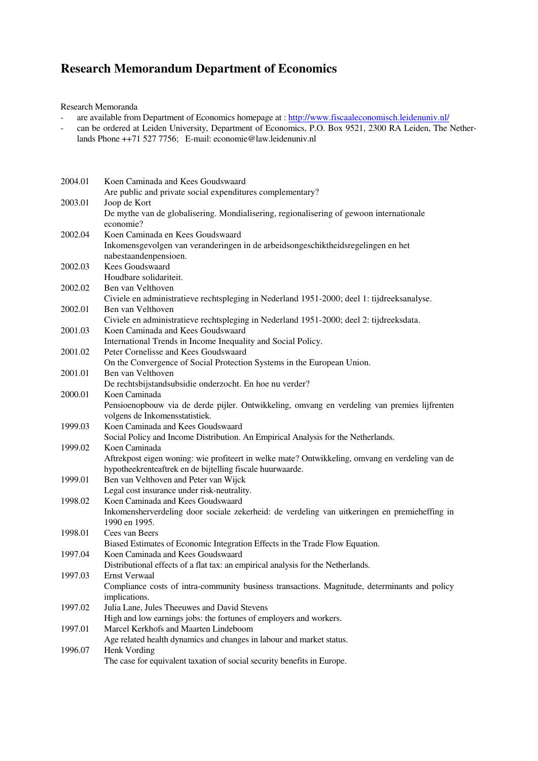# **Research Memorandum Department of Economics**

#### Research Memoranda

- are available from Department of Economics homepage at : http://www.fiscaaleconomisch.leidenuniv.nl/
- can be ordered at Leiden University, Department of Economics, P.O. Box 9521, 2300 RA Leiden, The Netherlands Phone ++71 527 7756; E-mail: economie@law.leidenuniv.nl

| 2004.01 | Koen Caminada and Kees Goudswaard                                                                    |
|---------|------------------------------------------------------------------------------------------------------|
|         | Are public and private social expenditures complementary?                                            |
| 2003.01 | Joop de Kort                                                                                         |
|         | De mythe van de globalisering. Mondialisering, regionalisering of gewoon internationale<br>economie? |
| 2002.04 | Koen Caminada en Kees Goudswaard                                                                     |
|         | Inkomensgevolgen van veranderingen in de arbeidsongeschiktheidsregelingen en het                     |
|         | nabestaandenpensioen.                                                                                |
| 2002.03 | Kees Goudswaard                                                                                      |
|         | Houdbare solidariteit.                                                                               |
| 2002.02 | Ben van Velthoven                                                                                    |
|         | Civiele en administratieve rechtspleging in Nederland 1951-2000; deel 1: tijdreeksanalyse.           |
| 2002.01 | Ben van Velthoven                                                                                    |
|         | Civiele en administratieve rechtspleging in Nederland 1951-2000; deel 2: tijdreeksdata.              |
| 2001.03 | Koen Caminada and Kees Goudswaard                                                                    |
|         | International Trends in Income Inequality and Social Policy.                                         |
| 2001.02 | Peter Cornelisse and Kees Goudswaard                                                                 |
|         | On the Convergence of Social Protection Systems in the European Union.                               |
| 2001.01 | Ben van Velthoven                                                                                    |
|         | De rechtsbijstandsubsidie onderzocht. En hoe nu verder?                                              |
| 2000.01 | Koen Caminada                                                                                        |
|         | Pensioenopbouw via de derde pijler. Ontwikkeling, omvang en verdeling van premies lijfrenten         |
|         | volgens de Inkomensstatistiek.                                                                       |
| 1999.03 | Koen Caminada and Kees Goudswaard                                                                    |
|         | Social Policy and Income Distribution. An Empirical Analysis for the Netherlands.                    |
| 1999.02 | Koen Caminada                                                                                        |
|         | Aftrekpost eigen woning: wie profiteert in welke mate? Ontwikkeling, omvang en verdeling van de      |
|         | hypotheekrenteaftrek en de bijtelling fiscale huurwaarde.                                            |
| 1999.01 | Ben van Velthoven and Peter van Wijck                                                                |
|         | Legal cost insurance under risk-neutrality.                                                          |
| 1998.02 | Koen Caminada and Kees Goudswaard                                                                    |
|         | Inkomensherverdeling door sociale zekerheid: de verdeling van uitkeringen en premieheffing in        |
|         | 1990 en 1995.                                                                                        |
| 1998.01 | Cees van Beers<br>Biased Estimates of Economic Integration Effects in the Trade Flow Equation.       |
| 1997.04 | Koen Caminada and Kees Goudswaard                                                                    |
|         | Distributional effects of a flat tax: an empirical analysis for the Netherlands.                     |
| 1997.03 | Ernst Verwaal                                                                                        |
|         | Compliance costs of intra-community business transactions. Magnitude, determinants and policy        |
|         | implications.                                                                                        |
| 1997.02 | Julia Lane, Jules Theeuwes and David Stevens                                                         |
|         | High and low earnings jobs: the fortunes of employers and workers.                                   |
| 1997.01 | Marcel Kerkhofs and Maarten Lindeboom                                                                |
|         | Age related health dynamics and changes in labour and market status.                                 |
| 1996.07 | Henk Vording                                                                                         |
|         | The case for equivalent taxation of social security benefits in Europe.                              |
|         |                                                                                                      |